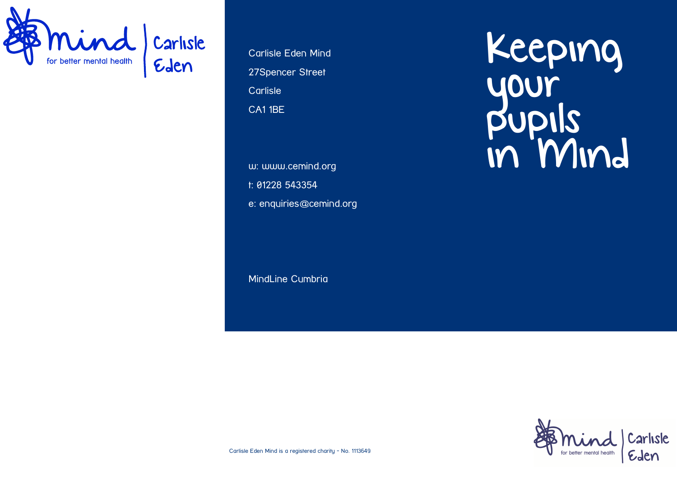

Carlisle Eden Mind 27Spencer Street **Carlisle** CA1 1BE

w: www.cemind.org t: 01228 543354 e: enquiries@cemind.org

MindLine Cumbria

Keeping your pupils in Mind



Carlisle Eden Mind is a registered charity - No. 1113649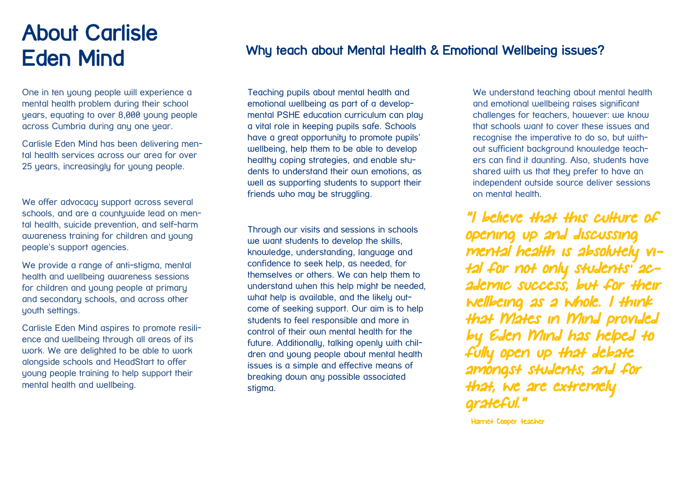# About Carlisle Eden Mind

One in ten young people will experience a mental health problem during their school years, equating to over 8,000 young people across Cumbria during any one year.

Carlisle Eden Mind has been delivering mental health services across our area for over 25 years, increasingly for young people.

We offer advocacy support across several schools, and are a countywide lead on mental health, suicide prevention, and self-harm awareness training for children and young people's support agencies.

We provide a range of anti-stigma, mental health and wellbeing awareness sessions for children and young people at primary and secondary schools, and across other youth settings.

Carlisle Eden Mind aspires to promote resilience and wellbeing through all areas of its work. We are delighted to be able to work alongside schools and HeadStart to offer young people training to help support their mental health and wellbeing.

### Why teach about Mental Health & Emotional Wellbeing issues?

Teaching pupils about mental health and emotional wellbeing as part of a developmental PSHE education curriculum can play a vital role in keeping pupils safe. Schools have a great opportunity to promote pupils' wellbeing, help them to be able to develop healthy coping strategies, and enable students to understand their own emotions, as well as supporting students to support their friends who may be struggling.

Through our visits and sessions in schools we want students to develop the skills, knowledge, understanding, language and confidence to seek help, as needed, for themselves or others. We can help them to understand when this help might be needed, what help is available, and the likely outcome of seeking support. Our aim is to help students to feel responsible and more in control of their own mental health for the future. Additionally, talking openly with children and young people about mental health issues is a simple and effective means of breaking down any possible associated stigma.

We understand teaching about mental health and emotional wellbeing raises significant challenges for teachers, however: we know that schools want to cover these issues and recognise the imperative to do so, but without sufficient background knowledge teachers can find it daunting. Also, students have shared with us that they prefer to have an independent outside source deliver sessions on mental health.

"I believe that this culture of opening up and discussing mental health is absolutely vital for not only students' academic success, but for their wellbeing as a whole. I think that Mates in Mind provided by Eden Mind has helped to fully open up that debate amongst students, and for that, we are extremely grateful."

Harriet Cooper teacher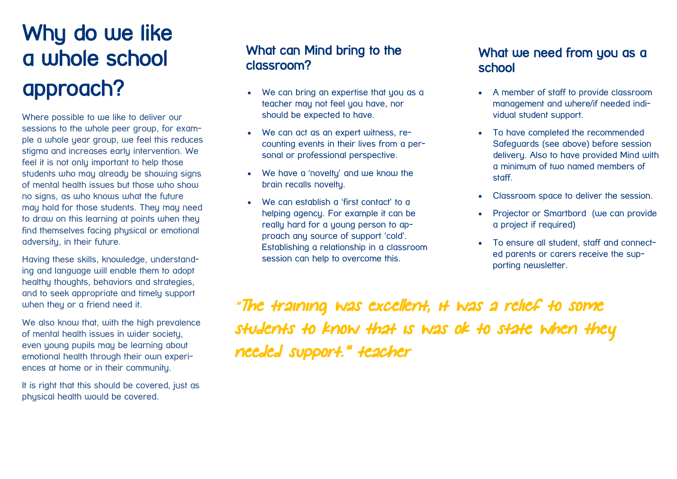# Why do we like a whole school approach?

Where possible to we like to deliver our sessions to the whole peer group, for example a whole year group, we feel this reduces stigma and increases early intervention. We feel it is not only important to help those students who may already be showing signs of mental health issues but those who show no signs, as who knows what the future may hold for those students. They may need to draw on this learning at points when they find themselves facing physical or emotional adversity, in their future.

Having these skills, knowledge, understanding and language will enable them to adopt healthy thoughts, behaviors and strategies, and to seek appropriate and timely support when they or a friend need it.

We also know that, with the high prevalence of mental health issues in wider society, even young pupils may be learning about emotional health through their own experiences at home or in their community.

It is right that this should be covered, just as physical health would be covered.

### What can Mind bring to the classroom?

- We can bring an expertise that you as a teacher may not feel you have, nor should be expected to have.
- We can act as an expert witness, recounting events in their lives from a personal or professional perspective.
- We have a 'novelty' and we know the brain recalls novelty.
- We can establish a 'first contact' to a helping agency. For example it can be really hard for a young person to approach any source of support 'cold'. Establishing a relationship in a classroom session can help to overcome this.

#### What we need from you as a school

- A member of staff to provide classroom management and where/if needed individual student support.
- To have completed the recommended Safeguards (see above) before session delivery. Also to have provided Mind with a minimum of tujo named members of staff.
- Classroom space to deliver the session.
- Projector or Smartbord (we can provide a project if required)
- To ensure all student, staff and connected parents or carers receive the supporting newsletter.

"The training was excellent, it was a relief to some students to know that is was ok to state when they needed support." teacher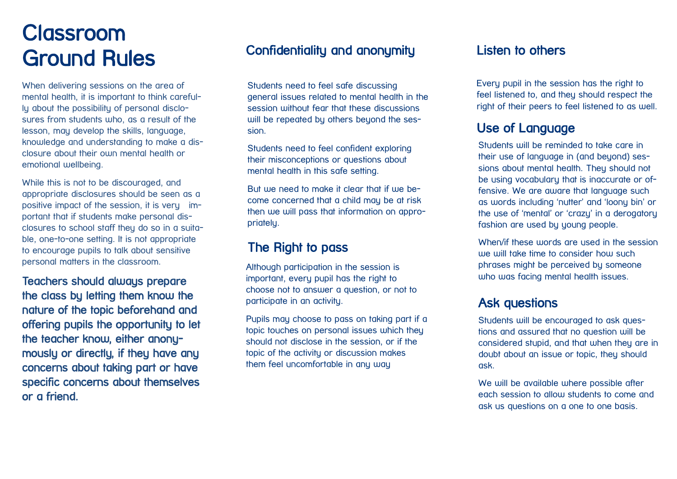# **Classroom** Ground Rules

When delivering sessions on the area of mental health, it is important to think carefully about the possibility of personal disclosures from students who, as a result of the lesson, may develop the skills, language, knowledge and understanding to make a disclosure about their own mental health or emotional wellbeing.

While this is not to be discouraged, and appropriate disclosures should be seen as a positive impact of the session, it is very important that if students make personal disclosures to school staff they do so in a suitable, one-to-one setting. It is not appropriate to encourage pupils to talk about sensitive personal matters in the classroom.

Teachers should always prepare the class by letting them know the nature of the topic beforehand and offering pupils the opportunity to let the teacher know, either anonymously or directly, if they have any concerns about taking part or have specific concerns about themselves or a friend.

### Confidentiality and anonymity

Students need to feel safe discussing general issues related to mental health in the session without fear that these discussions will be repeated by others beyond the session.

Students need to feel confident exploring their misconceptions or questions about mental health in this safe setting.

But we need to make it clear that if we become concerned that a child may be at risk then we will pass that information on appropriately.

#### The Right to pass

Although participation in the session is important, every pupil has the right to choose not to answer a question, or not to participate in an activity.

Pupils may choose to pass on taking part if a topic touches on personal issues which they should not disclose in the session, or if the topic of the activity or discussion makes them feel uncomfortable in any way

#### Listen to others

Every pupil in the session has the right to feel listened to, and they should respect the right of their peers to feel listened to as well.

### Use of Language

Students will be reminded to take care in their use of language in (and beyond) sessions about mental health. They should not be using vocabulary that is inaccurate or offensive. We are aware that language such as words including 'nutter' and 'loony bin' or the use of 'mental' or 'crazy' in a derogatory fashion are used by young people.

When/if these words are used in the session we will take time to consider how such phrases might be perceived by someone who was facing mental health issues.

#### Ask questions

Students will be encouraged to ask questions and assured that no question will be considered stupid, and that when they are in doubt about an issue or topic, they should ask.

We will be available where possible after each session to allow students to come and ask us questions on a one to one basis.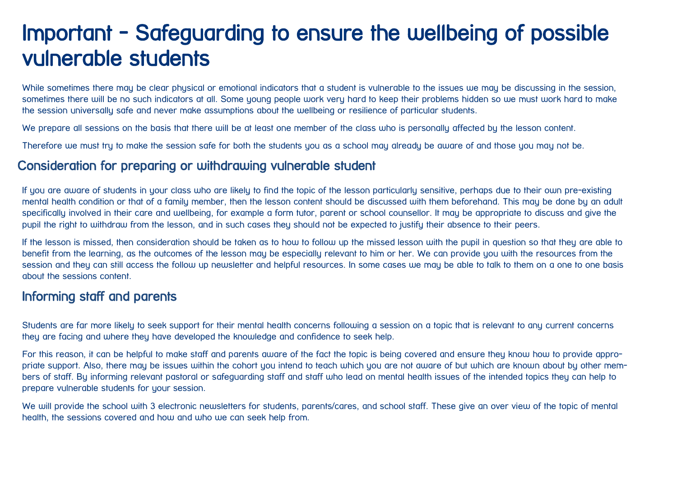## Important - Safeguarding to ensure the wellbeing of possible vulnerable students

While sometimes there may be clear physical or emotional indicators that a student is vulnerable to the issues we may be discussing in the session, sometimes there will be no such indicators at all. Some young people work very hard to keep their problems hidden so we must work hard to make the session universally safe and never make assumptions about the wellbeing or resilience of particular students.

We prepare all sessions on the basis that there will be at least one member of the class who is personally affected by the lesson content.

Therefore we must try to make the session safe for both the students you as a school may already be aware of and those you may not be.

#### Consideration for preparing or withdrawing vulnerable student

If you are aware of students in your class who are likely to find the topic of the lesson particularly sensitive, perhaps due to their own pre-existing mental health condition or that of a family member, then the lesson content should be discussed with them beforehand. This may be done by an adult specifically involved in their care and wellbeing, for example a form tutor, parent or school counsellor. It may be appropriate to discuss and give the pupil the right to withdraw from the lesson, and in such cases they should not be expected to justify their absence to their peers.

If the lesson is missed, then consideration should be taken as to how to follow up the missed lesson with the pupil in question so that they are able to benefit from the learning, as the outcomes of the lesson may be especially relevant to him or her. We can provide you with the resources from the session and they can still access the follow up newsletter and helpful resources. In some cases we may be able to talk to them on a one to one basis about the sessions content.

#### Informing staff and parents

Students are far more likely to seek support for their mental health concerns following a session on a topic that is relevant to any current concerns they are facing and where they have developed the knowledge and confidence to seek help.

For this reason, it can be helpful to make staff and parents aware of the fact the topic is being covered and ensure they know how to provide appropriate support. Also, there may be issues within the cohort you intend to teach which you are not aware of but which are known about by other members of staff. By informing relevant pastoral or safeguarding staff and staff who lead on mental health issues of the intended topics they can help to prepare vulnerable students for your session.

We will provide the school with 3 electronic newsletters for students, parents/cares, and school staff. These give an over view of the topic of mental health, the sessions covered and how and who we can seek help from.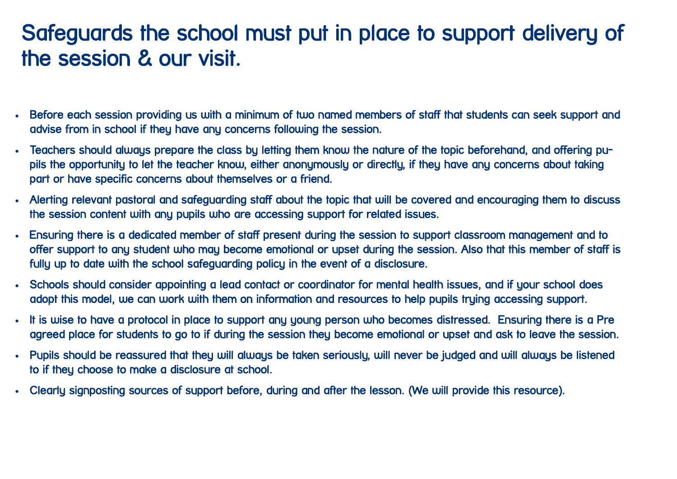# Safeguards the school must put in place to support delivery of the session & our visit.

- Before each session providing us with a minimum of two named members of staff that students can seek support and advise from in school if they have any concerns following the session.
- Teachers should always prepare the class by letting them know the nature of the topic beforehand, and offering pupils the opportunity to let the teacher know, either anonymously or directly, if they have any concerns about taking part or have specific concerns about themselves or a friend.
- Alerting relevant pastoral and safeguarding staff about the topic that will be covered and encouraging them to discuss the session content with any pupils who are accessing support for related issues.
- Ensuring there is a dedicated member of staff present during the session to support classroom management and to offer support to any student who may become emotional or upset during the session. Also that this member of staff is fully up to date with the school safeguarding policy in the event of a disclosure.
- Schools should consider appointing a lead contact or coordinator for mental health issues, and if your school does adopt this model, we can work with them on information and resources to help pupils truing accessing support.
- It is wise to have a protocol in place to support any young person who becomes distressed. Ensuring there is a Pre agreed place for students to go to if during the session they become emotional or upset and ask to leave the session.
- Pupils should be reassured that they will always be taken seriously, will never be judged and will always be listened to if they choose to make a disclosure at school.
- Clearly signposting sources of support before, during and after the lesson. (We will provide this resource).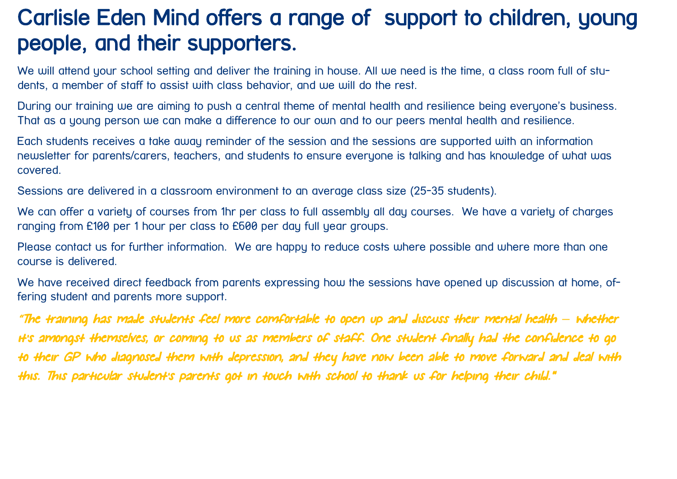# Carlisle Eden Mind offers a range of support to children, young people, and their supporters.

We will attend your school setting and deliver the training in house. All we need is the time, a class room full of students, a member of staff to assist with class behavior, and we will do the rest.

During our training we are aiming to push a central theme of mental health and resilience being everyone's business. That as a young person we can make a difference to our own and to our peers mental health and resilience.

Each students receives a take away reminder of the session and the sessions are supported with an information newsletter for parents/carers, teachers, and students to ensure everyone is talking and has knowledge of what was covered.

Sessions are delivered in a classroom environment to an average class size (25-35 students).

We can offer a variety of courses from 1hr per class to full assembly all day courses. We have a variety of charges ranging from £100 per 1 hour per class to £600 per day full year groups.

Please contact us for further information. We are happy to reduce costs where possible and where more than one course is delivered.

We have received direct feedback from parents expressing how the sessions have opened up discussion at home, offering student and parents more support.

"The training has made students feel more comfortable to open up and discuss their mental health *–* whether it's amongst themselves, or coming to us as members of staff. One student finally had the confidence to go to their GP who diagnosed them with depression, and they have now been able to move forward and deal with this. This particular student's parents got in touch with school to thank us for helping their child."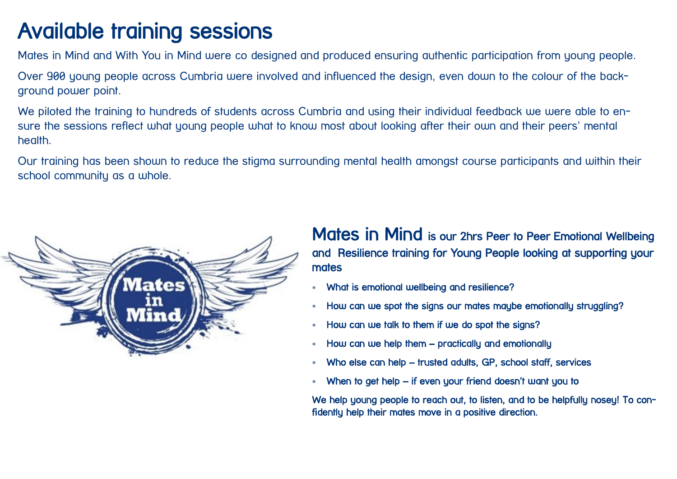# Available training sessions

Mates in Mind and With You in Mind were co designed and produced ensuring authentic participation from young people.

Over 900 young people across Cumbria were involved and influenced the design, even down to the colour of the background power point.

We piloted the training to hundreds of students across Cumbria and using their individual feedback we were able to ensure the sessions reflect what young people what to know most about looking after their own and their peers' mental health.

Our training has been shown to reduce the stigma surrounding mental health amongst course participants and within their school community as a whole.



Mates in Mind is our 2hrs Peer to Peer Emotional Wellbeing and Resilience training for Young People looking at supporting your **mates** 

- What is emotional wellbeing and resilience?
- \* How can we spot the signs our mates may be emotionally struggling?
- \* How can we talk to them if we do spot the signs?
- How can we help them practically and emotionally
- Who else can help trusted adults, GP, school staff, services
- When to get help if even your friend doesn't want you to

We help young people to reach out, to listen, and to be helpfully nosey! To confidently help their mates move in a positive direction.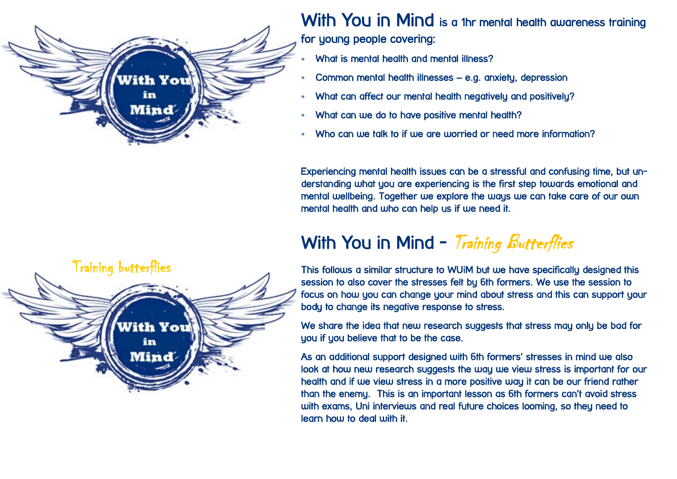

With You in Mind is a 1hr mental health awareness training for young people covering:

- What is mental health and mental illness?
- Common mental health illnesses e.g. anxiety, depression
- What can affect our mental health negatively and positively?
- What can we do to have positive mental health?
- Who can we talk to if we are worried or need more information?

Experiencing mental health issues can be a stressful and confusing time, but understanding what you are experiencing is the first step towards emotional and mental wellbeing. Together we explore the ways we can take care of our own mental health and who can help us if we need it.

### With You in Mind - Training Butterflies



This follows a similar structure to WUiM but we have specifically designed this session to also cover the stresses felt by 6th formers. We use the session to focus on how you can change your mind about stress and this can support your body to change its negative response to stress.

We share the idea that new research suggests that stress may only be bad for you if you believe that to be the case.

As an additional support designed with 6th formers' stresses in mind we also look at how new research suggests the way we view stress is important for our health and if we view stress in a more positive way it can be our friend rather than the enemy. This is an important lesson as 6th formers can't avoid stress with exams, Uni interviews and real future choices looming, so they need to learn how to deal with it.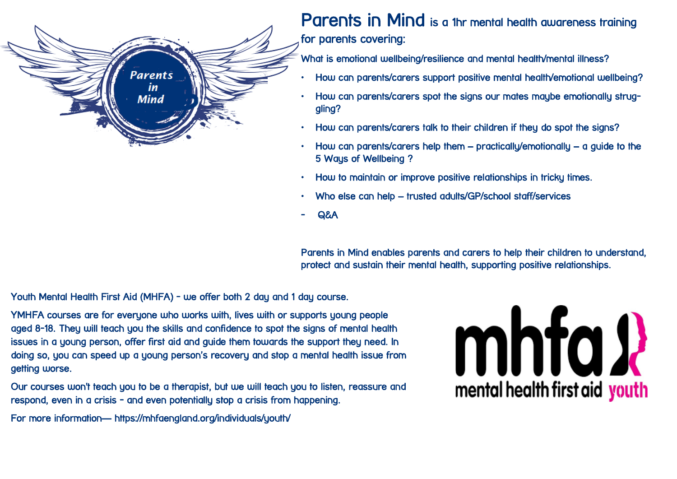

Parents in Mind is a 1hr mental health awareness training for parents covering:

What is emotional wellbeing/resilience and mental health/mental illness?

- How can parents/carers support positive mental health/emotional wellbeing?
- How can parents/carers spot the signs our mates maybe emotionally struggling?
- How can parents/carers talk to their children if they do spot the signs?
- $\cdot$  How can parents/carers help them practically/emotionally a guide to the 5 Ways of Wellbeing?
- How to maintain or improve positive relationships in tricky times.
- Who else can help trusted adults/GP/school staff/services
- Q&A

Parents in Mind enables parents and carers to help their children to understand, protect and sustain their mental health, supporting positive relationships.

Youth Mental Health First Aid (MHFA) - we offer both 2 day and 1 day course.

YMHFA courses are for everyone who works with, lives with or supports young people aged 8-18. They will teach you the skills and confidence to spot the signs of mental health issues in a young person, offer first aid and guide them towards the support they need. In doing so, you can speed up a young person's recovery and stop a mental health issue from getting worse.

Our courses won't teach you to be a therapist, but we will teach you to listen, reassure and respond, even in a crisis - and even potentially stop a crisis from happening.

For more information— https://mhfaengland.org/individuals/youth/

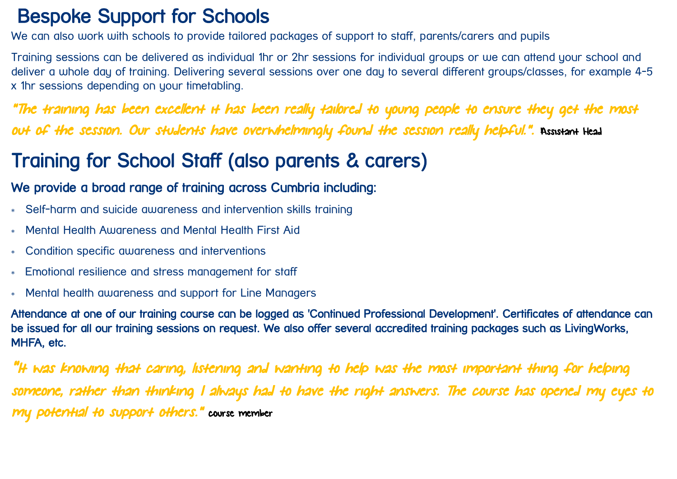### Bespoke Support for Schools

We can also work with schools to provide tailored packages of support to staff, parents/carers and pupils

Training sessions can be delivered as individual 1hr or 2hr sessions for individual groups or we can attend your school and deliver a whole day of training. Delivering several sessions over one day to several different groups/classes, for example 4-5 x 1hr sessions depending on your timetabling.

"The training has been excellent it has been really tailored to young people to ensure they get the most out of the session. Our students have overwhelmingly found the session really helpful.". Assistant Head

## Training for School Staff (also parents & carers)

### We provide a broad range of training across Cumbria including:

- Self-harm and suicide awareness and intervention skills training
- Mental Health Awareness and Mental Health First Aid
- Condition specific awareness and interventions
- Emotional resilience and stress management for staff
- Mental health awareness and support for Line Managers

Attendance at one of our training course can be logged as 'Continued Professional Development'. Certificates of attendance can be issued for all our training sessions on request. We also offer several accredited training packages such as LivingWorks, MHFA, etc.

"It was knowing that caring, listening and wanting to help was the most important thing for helping someone, rather than thinking I always had to have the right answers. The course has opened my eyes to my potential to support others." course member